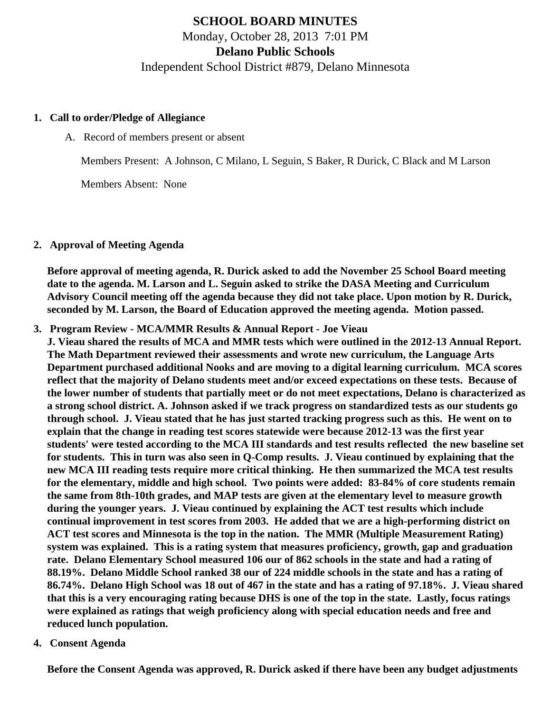# **SCHOOL BOARD MINUTES** Monday, October 28, 2013 7:01 PM **Delano Public Schools** Independent School District #879, Delano Minnesota

#### **1. Call to order/Pledge of Allegiance**

A. Record of members present or absent

Members Present: A Johnson, C Milano, L Seguin, S Baker, R Durick, C Black and M Larson

Members Absent: None

#### **2. Approval of Meeting Agenda**

**Before approval of meeting agenda, R. Durick asked to add the November 25 School Board meeting date to the agenda. M. Larson and L. Seguin asked to strike the DASA Meeting and Curriculum Advisory Council meeting off the agenda because they did not take place. Upon motion by R. Durick, seconded by M. Larson, the Board of Education approved the meeting agenda. Motion passed.**

**3. Program Review - MCA/MMR Results & Annual Report - Joe Vieau**

**J. Vieau shared the results of MCA and MMR tests which were outlined in the 2012-13 Annual Report. The Math Department reviewed their assessments and wrote new curriculum, the Language Arts Department purchased additional Nooks and are moving to a digital learning curriculum. MCA scores reflect that the majority of Delano students meet and/or exceed expectations on these tests. Because of the lower number of students that partially meet or do not meet expectations, Delano is characterized as a strong school district. A. Johnson asked if we track progress on standardized tests as our students go through school. J. Vieau stated that he has just started tracking progress such as this. He went on to explain that the change in reading test scores statewide were because 2012-13 was the first year students' were tested according to the MCA III standards and test results reflected the new baseline set for students. This in turn was also seen in Q-Comp results. J. Vieau continued by explaining that the new MCA III reading tests require more critical thinking. He then summarized the MCA test results for the elementary, middle and high school. Two points were added: 83-84% of core students remain the same from 8th-10th grades, and MAP tests are given at the elementary level to measure growth during the younger years. J. Vieau continued by explaining the ACT test results which include continual improvement in test scores from 2003. He added that we are a high-performing district on ACT test scores and Minnesota is the top in the nation. The MMR (Multiple Measurement Rating) system was explained. This is a rating system that measures proficiency, growth, gap and graduation rate. Delano Elementary School measured 106 our of 862 schools in the state and had a rating of 88.19%. Delano Middle School ranked 38 our of 224 middle schools in the state and has a rating of 86.74%. Delano High School was 18 out of 467 in the state and has a rating of 97.18%. J. Vieau shared that this is a very encouraging rating because DHS is one of the top in the state. Lastly, focus ratings were explained as ratings that weigh proficiency along with special education needs and free and reduced lunch population.**

#### **4. Consent Agenda**

**Before the Consent Agenda was approved, R. Durick asked if there have been any budget adjustments**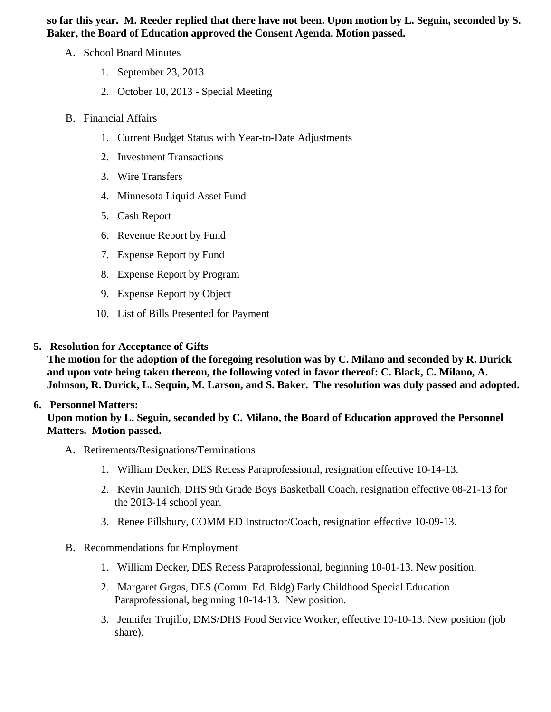so far this year. M. Reeder replied that there have not been. Upon motion by L. Seguin, seconded by S. Baker, the Board of Education approved the Consent Agenda. Motion passed.

- A. School Board Minutes
	- 1. [September 23, 201](http://www.delano.k12.mn.us/pb/app/agenda/minutes/93)3
	- 2. [October 10, 2013 Special Meet](/docs/district/District_Forms/School_Board_Special_Session_Minutes_10.10.13.pdf)ing
- B. Financial Affairs
	- 1. [Current Budget Status with Year-to-Date Adjustm](/docs/district/Business_Office/Budget_Report_Oct_13.pdf)ents
	- 2. [Investment Transactio](/docs/district/Business_Office/Investment_schedule_13-14.pdf  )ns
	- 3. [Wire Transfer](/docs/district/Business_Office/Wire_Transfer.pdf  )s
	- 4. [Minnesota Liquid Asset Fun](/docs/district/Business_Office/Liq_AFY14.pdf )d
	- 5. [Cash Repo](/docs/district/Business_Office/Cash_Report.pdf)rt
	- 6. [Revenue Report by Fu](/docs/district/Business_Office/SCHOOL_BOARD_REPORTS_-_REVENUE_BY_FUND_TOTAL__(Date__6_2014).pdf)nd
	- 7. [Expense Report by Fu](/docs/district/Business_Office/SCHOOL_BOARD_REPORTS_-_EXP_BY_FUND_TOTAL__(Date__6_2014).pdf)nd
	- 8. [Expense Report by Progra](/docs/district/Business_Office/SCHOOL_BOARD_REPORTS_-_EXPENDITURES_BY_PROGRAM__(Date__6_2014).pdf)m
	- 9. [Expense Report by Obje](/docs/district/Business_Office/SCHOOL_BOARD_REPORTS_-_EXPENDITURES_BY_OBJECT__(Date__6_2014).pdf)ct
	- 10. [List of Bills Presented for Payme](/docs/district/Business_Office/Detail_of_Monthly_Bills_Paid.pdf)nt
- 5. [Resolution for Acceptance of Gifts](/docs/district/Business_Office/Resolution_for_Acceptance_of_Gifts_10.28.13.pdf)

The motion for the adoption of the foregoing resolution was by C. Milano and seconded by R. Durick and upon vote being taken thereon, the following voted in favor thereof: C. Black, C. Milano, A. Johnson, R. Durick, L. Sequin, M. Larson, and S. Baker. The resolution was duly passed and adopted.

# 6. Personnel Matters:

Upon motion by L. Seguin, seconded by C. Milano, the Board of Education approved the Personnel Matters. Motion passed.

- A. Retirements/Resignations/Terminations
	- 1. William Decker, DES Recess Paraprofessional, resignation effective 10-14-13.
	- 2. Kevin Jaunich, DHS 9th Grade Boys Basketball Coach, resignation effective 08-21-13 for the 2013-14 school year.
	- 3. Renee Pillsbury, COMM ED Instructor/Coach, resignation effective 10-09-13.
- B. Recommendations for Employment
	- 1. William Decker, DES Recess Paraprofessional, beginning 10-01-13. New position.
	- 2. Margaret Grgas, DES (Comm. Ed. Bldg) Early Childhood Special Education Paraprofessional, beginning 10-14-13. New position.
	- 3. Jennifer Trujillo, DMS/DHS Food Service Worker, effective 10-10-13. New position (job share).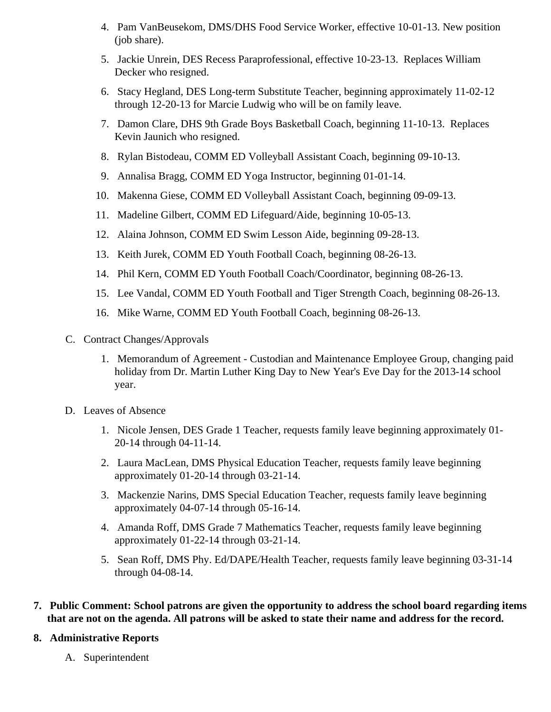- 4. Pam VanBeusekom, DMS/DHS Food Service Worker, effective 10-01-13. New position (job share).
- 5. Jackie Unrein, DES Recess Paraprofessional, effective 10-23-13. Replaces William Decker who resigned.
- 6. Stacy Hegland, DES Long-term Substitute Teacher, beginning approximately 11-02-12 through 12-20-13 for Marcie Ludwig who will be on family leave.
- 7. Damon Clare, DHS 9th Grade Boys Basketball Coach, beginning 11-10-13. Replaces Kevin Jaunich who resigned.
- 8. Rylan Bistodeau, COMM ED Volleyball Assistant Coach, beginning 09-10-13.
- 9. Annalisa Bragg, COMM ED Yoga Instructor, beginning 01-01-14.
- 10. Makenna Giese, COMM ED Volleyball Assistant Coach, beginning 09-09-13.
- 11. Madeline Gilbert, COMM ED Lifeguard/Aide, beginning 10-05-13.
- 12. Alaina Johnson, COMM ED Swim Lesson Aide, beginning 09-28-13.
- 13. Keith Jurek, COMM ED Youth Football Coach, beginning 08-26-13.
- 14. Phil Kern, COMM ED Youth Football Coach/Coordinator, beginning 08-26-13.
- 15. Lee Vandal, COMM ED Youth Football and Tiger Strength Coach, beginning 08-26-13.
- 16. Mike Warne, COMM ED Youth Football Coach, beginning 08-26-13.
- C. Contract Changes/Approvals
	- 1. Memorandum of Agreement Custodian and Maintenance Employee Group, changing paid holiday from Dr. Martin Luther King Day to New Year's Eve Day for the 2013-14 school year.
- D. Leaves of Absence
	- 1. Nicole Jensen, DES Grade 1 Teacher, requests family leave beginning approximately 01- 20-14 through 04-11-14.
	- 2. Laura MacLean, DMS Physical Education Teacher, requests family leave beginning approximately 01-20-14 through 03-21-14.
	- 3. Mackenzie Narins, DMS Special Education Teacher, requests family leave beginning approximately 04-07-14 through 05-16-14.
	- 4. Amanda Roff, DMS Grade 7 Mathematics Teacher, requests family leave beginning approximately 01-22-14 through 03-21-14.
	- 5. Sean Roff, DMS Phy. Ed/DAPE/Health Teacher, requests family leave beginning 03-31-14 through 04-08-14.
- **7. Public Comment: School patrons are given the opportunity to address the school board regarding items that are not on the agenda. All patrons will be asked to state their name and address for the record.**

### **8. Administrative Reports**

A. Superintendent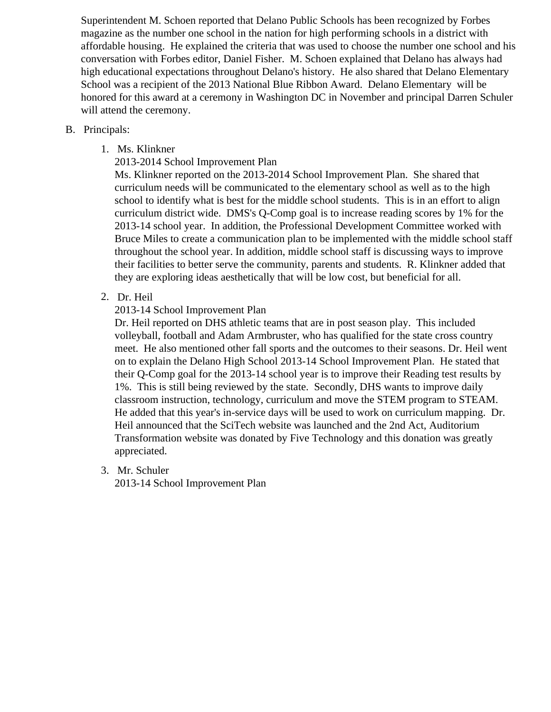Superintendent M. Schoen reported that Delano Public Schools has been recognized by Forbes magazine as the number one school in the nation for high performing schools in a district with affordable housing. He explained the criteria that was used to choose the number one school and his conversation with Forbes editor, Daniel Fisher. M. Schoen explained that Delano has always had high educational expectations throughout Delano's history. He also shared that Delano Elementar School was a recipient of the 2013 National Blue Ribbon Award. Delano Elementary will be honored for this award at a ceremony in Washington DC in November and principal Darren Schule will attend the ceremony.

# B. Principals:

1. Ms. Klinkner

[2013-2014 School Improvement P](/docs/district/Business_Office/2013-14_DMS_SIP.pdf )lan

Ms. Klinkner reported on the 2013-2014 School Improvement Plan. She shared that curriculum needs will be communicated to the elementary school as well as to the high school to identify what is best for the middle school students. This is in an effort to align curriculum district wide. DMS's Q-Comp goal is to increase reading scores by 1% for the 2013-14 school year. In addition, the Professional Development Committee worked with Bruce Miles to create a communication plan to be implemented with the middle school staff throughout the school year. In addition, middle school staff is discussing ways to improve their facilities to better serve the community, parents and students. R. Klinkner added that they are exploring ideas aesthetically that will be low cost, but beneficial for all.

2. Dr. Heil

[2013-14 School Improvement P](/docs/district/District_Forms/2013-2014_SIP.pdf)lan

Dr. Heil reported on DHS athletic teams that are in post season play. This included volleyball, football and Adam Armbruster, who has qualified for the state cross country meet. He also mentioned other fall sports and the outcomes to their seasons. Dr. Heil went on to explain the Delano High School 2013-14 School Improvement Plan. He stated that their Q-Comp goal for the 2013-14 school year is to improve their Reading test results by 1%. This is still being reviewed by the state. Secondly, DHS wants to improve daily classroom instruction, technology, curriculum and move the STEM program to STEAM. He added that this year's in-service days will be used to work on curriculum mapping. Dr. Heil announced that the SciTech website was launched and the 2nd Act, Auditorium Transformation website was donated by Five Technology and this donation was greatly appreciated.

3. Mr. Schuler

[2013-14 School Improvement P](/DELANO_ELEM_IMPROVEMENT_PLAN_2013-2014_(Fall).pdf)lan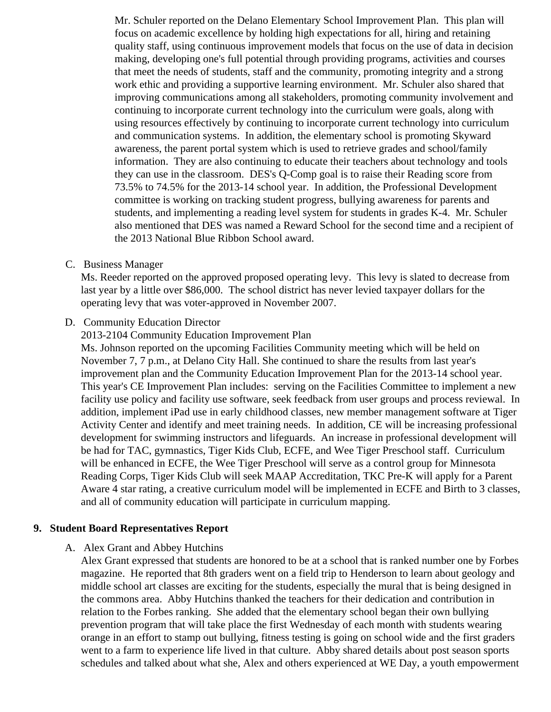Mr. Schuler reported on the Delano Elementary School Improvement Plan. This plan will focus on academic excellence by holding high expectations for all, hiring and retaining quality staff, using continuous improvement models that focus on the use of data in decision making, developing one's full potential through providing programs, activities and courses that meet the needs of students, staff and the community, promoting integrity and a strong work ethic and providing a supportive learning environment. Mr. Schuler also shared that improving communications among all stakeholders, promoting community involvement and continuing to incorporate current technology into the curriculum were goals, along with using resources effectively by continuing to incorporate current technology into curriculum and communication systems. In addition, the elementary school is promoting Skyward awareness, the parent portal system which is used to retrieve grades and school/family information. They are also continuing to educate their teachers about technology and tools they can use in the classroom. DES's Q-Comp goal is to raise their Reading score from 73.5% to 74.5% for the 2013-14 school year. In addition, the Professional Development committee is working on tracking student progress, bullying awareness for parents and students, and implementing a reading level system for students in grades K-4. Mr. Schuler also mentioned that DES was named a Reward School for the second time and a recipient the 2013 National Blue Ribbon School award.

C. [Business Manag](/docs/district/Business_Office/13_PAY_14_PROPOSED_LEVY.pdf)er

Ms. Reeder reported on the approved proposed operating levy. This levy is slated to decrease from last year by a little over \$86,000. The school district has never levied taxpayer dollars for the operating levy that was voter-approved in November 2007.

D. Community Education Director

[2013-2104 Community Education Improvement P](/docs/district/District_Forms/CIP_Goals_2013-2014.pdf)lan

Ms. Johnson reported on the upcoming Facilities Community meeting which will be held on November 7, 7 p.m., at Delano City Hall. She continued to share the results from last year's improvement plan and the Community Education Improvement Plan for the 2013-14 school year. This year's CE Improvement Plan includes: serving on the Facilities Committee to implement a new facility use policy and facility use software, seek feedback from user groups and process reviewal. addition, implement iPad use in early childhood classes, new member management software at Tig Activity Center and identify and meet training needs. In addition, CE will be increasing professional development for swimming instructors and lifeguards. An increase in professional development wi be had for TAC, gymnastics, Tiger Kids Club, ECFE, and Wee Tiger Preschool staff. Curriculum will be enhanced in ECFE, the Wee Tiger Preschool will serve as a control group for Minnesota Reading Corps, Tiger Kids Club will seek MAAP Accreditation, TKC Pre-K will apply for a Parent Aware 4 star rating, a creative curriculum model will be implemented in ECFE and Birth to 3 classe and all of community education will participate in curriculum mapping.

9. Student Board Representatives Report

# A. Alex Grant and Abbey Hutchins

Alex Grant expressed that students are honored to be at a school that is ranked number one by For magazine. He reported that 8th graders went on a field trip to Henderson to learn about geology a middle school art classes are exciting for the students, especially the mural that is being designed the commons area. Abby Hutchins thanked the teachers for their dedication and contribution in relation to the Forbes ranking. She added that the elementary school began their own bullying prevention program that will take place the first Wednesday of each month with students wearing orange in an effort to stamp out bullying, fitness testing is going on school wide and the first grader went to a farm to experience life lived in that culture. Abby shared details about post season sport schedules and talked about what she, Alex and others experienced at WE Day, a youth empowern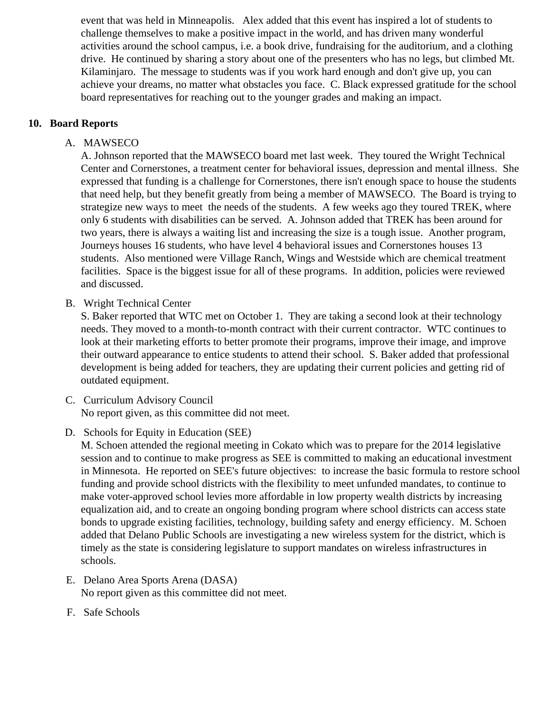event that was held in Minneapolis. Alex added that this event has inspired a lot of students to challenge themselves to make a positive impact in the world, and has driven many wonderful activities around the school campus, i.e. a book drive, fundraising for the auditorium, and a clothing drive. He continued by sharing a story about one of the presenters who has no legs, but climbed Mt. Kilaminjaro. The message to students was if you work hard enough and don't give up, you can achieve your dreams, no matter what obstacles you face. C. Black expressed gratitude for the school board representatives for reaching out to the younger grades and making an impact.

### **10. Board Reports**

# A. MAWSECO

A. Johnson reported that the MAWSECO board met last week. They toured the Wright Technical Center and Cornerstones, a treatment center for behavioral issues, depression and mental illness. She expressed that funding is a challenge for Cornerstones, there isn't enough space to house the students that need help, but they benefit greatly from being a member of MAWSECO. The Board is trying to strategize new ways to meet the needs of the students. A few weeks ago they toured TREK, where only 6 students with disabilities can be served. A. Johnson added that TREK has been around for two years, there is always a waiting list and increasing the size is a tough issue. Another program, Journeys houses 16 students, who have level 4 behavioral issues and Cornerstones houses 13 students. Also mentioned were Village Ranch, Wings and Westside which are chemical treatment facilities. Space is the biggest issue for all of these programs. In addition, policies were reviewed and discussed.

B. Wright Technical Center

S. Baker reported that WTC met on October 1. They are taking a second look at their technology needs. They moved to a month-to-month contract with their current contractor. WTC continues to look at their marketing efforts to better promote their programs, improve their image, and improve their outward appearance to entice students to attend their school. S. Baker added that professional development is being added for teachers, they are updating their current policies and getting rid of outdated equipment.

- C. Curriculum Advisory Council No report given, as this committee did not meet.
- D. Schools for Equity in Education (SEE)

M. Schoen attended the regional meeting in Cokato which was to prepare for the 2014 legislative session and to continue to make progress as SEE is committed to making an educational investment in Minnesota. He reported on SEE's future objectives: to increase the basic formula to restore school funding and provide school districts with the flexibility to meet unfunded mandates, to continue to make voter-approved school levies more affordable in low property wealth districts by increasing equalization aid, and to create an ongoing bonding program where school districts can access state bonds to upgrade existing facilities, technology, building safety and energy efficiency. M. Schoen added that Delano Public Schools are investigating a new wireless system for the district, which is timely as the state is considering legislature to support mandates on wireless infrastructures in schools.

- E. Delano Area Sports Arena (DASA) No report given as this committee did not meet.
- F. Safe Schools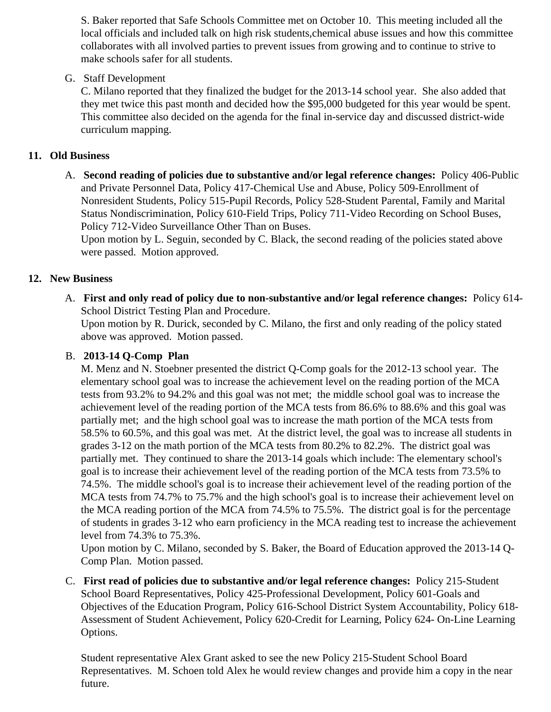S. Baker reported that Safe Schools Committee met on October 10. This meeting included all the local officials and included talk on high risk students, chemical abuse issues and how this committe collaborates with all involved parties to prevent issues from growing and to continue to strive to make schools safer for all students.

# G. Staff Development

C. Milano reported that they finalized the budget for the 2013-14 school year. She also added that they met twice this past month and decided how the \$95,000 budgeted for this year would be spen This committee also decided on the agenda for the final in-service day and discussed district-wide curriculum mapping.

# 11. Old Business

A. Second reading of policies due to substantive and/or legal reference changes salicy 406-Public and Private Personnel Data, Policy 417-Chemical Use and Abuse, Policy 509-Enrollment of Nonresident Students, Policy 515-Pupil Records, Policy 528-Student Parental, Family and Marital Status Nondiscrimination, Policy 610-Field Trips, Policy 711-Video Recording on School Buses, Policy 712-Video Surveillance Other Than on Buses.

Upon motion by L. Seguin, seconded by C. Black, the second reading of the policies stated above were passed. Motion approved.

# 12. New Business

A. First and only read of policy due to non-substantive and/or legal reference change Bolicy 614-School District Testing Plan and Procedure.

Upon motion by R. Durick, seconded by C. Milano, the first and only reading of the policy stated above was approved. Motion passed.

### B. 2013-14 Q-Comp [Plan](/docs/district/Q_comp/Q_Comp_Presentation_13.14.pdf)

M. Menz and N. Stoebner presented the district Q-Comp goals for the 2012-13 school year. The elementary school goal was to increase the achievement level on the reading portion of the MCA tests from 93.2% to 94.2% and this goal was not met; the middle school goal was to increase the achievement level of the reading portion of the MCA tests from 86.6% to 88.6% and this goal was partially met; and the high school goal was to increase the math portion of the MCA tests from 58.5% to 60.5%, and this goal was met. At the district level, the goal was to increase all students i grades 3-12 on the math portion of the MCA tests from 80.2% to 82.2%. The district goal was partially met. They continued to share the 2013-14 goals which include: The elementary school's goal is to increase their achievement level of the reading portion of the MCA tests from 73.5% to 74.5%. The middle school's goal is to increase their achievement level of the reading portion of the MCA tests from 74.7% to 75.7% and the high school's goal is to increase their achievement level on the MCA reading portion of the MCA from 74.5% to 75.5%. The district goal is for the percentage of students in grades 3-12 who earn proficiency in the MCA reading test to increase the achieveme level from 74.3% to 75.3%.

Upon motion by C. Milano, seconded by S. Baker, the Board of Education approved the 2013-14 Q-Comp Plan. Motion passed.

C. First read of policies due to substantive and/or legal reference change Bolicy 215-Student School Board Representatives, Policy 425-Professional Development, Policy 601-Goals and Objectives of the Education Program, Policy 616-School District System Accountability, Policy 618- Assessment of Student Achievement, Policy 620-Credit for Learning, Policy 624- On-Line Learning Options.

Student representative Alex Grant asked to see the new Policy 215-Student School Board Representatives. M. Schoen told Alex he would review changes and provide him a copy in the near future.